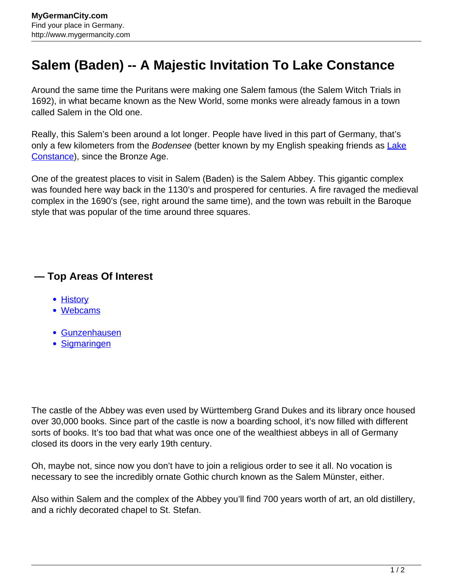## **Salem (Baden) -- A Majestic Invitation To Lake Constance**

Around the same time the Puritans were making one Salem famous (the Salem Witch Trials in 1692), in what became known as the New World, some monks were already famous in a town called Salem in the Old one.

Really, this Salem's been around a lot longer. People have lived in this part of Germany, that's only a few kilometers from the Bodensee (better known by my English speaking friends as [Lake](http://www.mygermancity.com/lake-constance) [Constance\)](http://www.mygermancity.com/lake-constance), since the Bronze Age.

One of the greatest places to visit in Salem (Baden) is the Salem Abbey. This gigantic complex was founded here way back in the 1130's and prospered for centuries. A fire ravaged the medieval complex in the 1690's (see, right around the same time), and the town was rebuilt in the Baroque style that was popular of the time around three squares.

## **— Top Areas Of Interest**

- [History](http://www.mygermancity.com/leipzig-history)
- [Webcams](http://www.mygermancity.com/neustadt-holstein-webcams)
- [Gunzenhausen](http://www.mygermancity.com/gunzenhausen)
- [Sigmaringen](http://www.mygermancity.com/sigmaringen)

The castle of the Abbey was even used by Württemberg Grand Dukes and its library once housed over 30,000 books. Since part of the castle is now a boarding school, it's now filled with different sorts of books. It's too bad that what was once one of the wealthiest abbeys in all of Germany closed its doors in the very early 19th century.

Oh, maybe not, since now you don't have to join a religious order to see it all. No vocation is necessary to see the incredibly ornate Gothic church known as the Salem Münster, either.

Also within Salem and the complex of the Abbey you'll find 700 years worth of art, an old distillery, and a richly decorated chapel to St. Stefan.